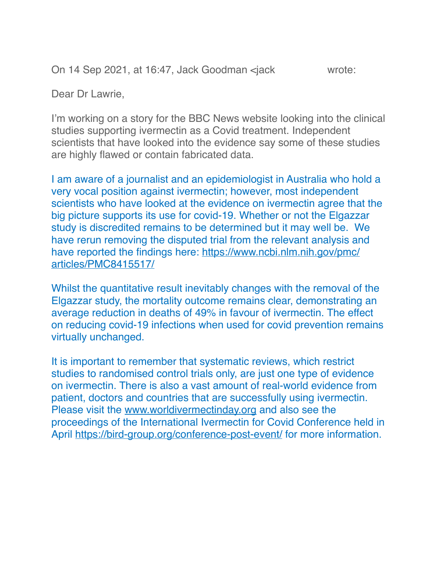On 14 Sep 2021, at 16:47, Jack Goodman <jack wrote:

Dear Dr Lawrie,

I'm working on a story for the BBC News website looking into the clinical studies supporting ivermectin as a Covid treatment. Independent scientists that have looked into the evidence say some of these studies are highly flawed or contain fabricated data.

I am aware of a journalist and an epidemiologist in Australia who hold a very vocal position against ivermectin; however, most independent scientists who have looked at the evidence on ivermectin agree that the big picture supports its use for covid-19. Whether or not the Elgazzar study is discredited remains to be determined but it may well be. We have rerun removing the disputed trial from the relevant analysis and have reported the findings here: [https://www.ncbi.nlm.nih.gov/pmc/](https://www.ncbi.nlm.nih.gov/pmc/articles/PMC8415517/) [articles/PMC8415517/](https://www.ncbi.nlm.nih.gov/pmc/articles/PMC8415517/)

Whilst the quantitative result inevitably changes with the removal of the Elgazzar study, the mortality outcome remains clear, demonstrating an average reduction in deaths of 49% in favour of ivermectin. The effect on reducing covid-19 infections when used for covid prevention remains virtually unchanged.

It is important to remember that systematic reviews, which restrict studies to randomised control trials only, are just one type of evidence on ivermectin. There is also a vast amount of real-world evidence from patient, doctors and countries that are successfully using ivermectin. Please visit the [www.worldivermectinday.org](http://www.worldivermectinday.org/) and also see the proceedings of the International Ivermectin for Covid Conference held in April<https://bird-group.org/conference-post-event/>for more information.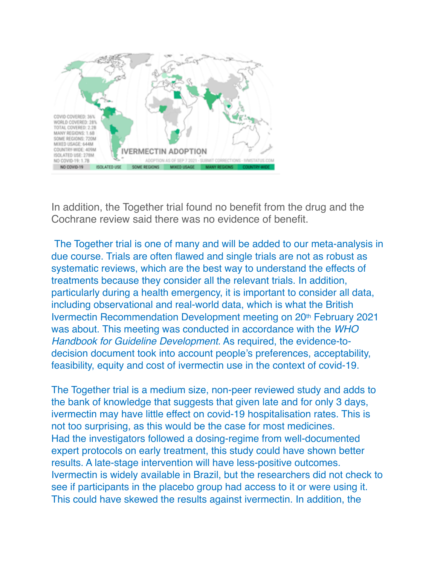

In addition, the Together trial found no benefit from the drug and the Cochrane review said there was no evidence of benefit.

The Together trial is one of many and will be added to our meta-analysis in due course. Trials are often flawed and single trials are not as robust as systematic reviews, which are the best way to understand the effects of treatments because they consider all the relevant trials. In addition, particularly during a health emergency, it is important to consider all data, including observational and real-world data, which is what the British Ivermectin Recommendation Development meeting on 20th February 2021 was about. This meeting was conducted in accordance with the *WHO Handbook for Guideline Development*. As required, the evidence-todecision document took into account people's preferences, acceptability, feasibility, equity and cost of ivermectin use in the context of covid-19.

The Together trial is a medium size, non-peer reviewed study and adds to the bank of knowledge that suggests that given late and for only 3 days, ivermectin may have little effect on covid-19 hospitalisation rates. This is not too surprising, as this would be the case for most medicines. Had the investigators followed a dosing-regime from well-documented expert protocols on early treatment, this study could have shown better results. A late-stage intervention will have less-positive outcomes. Ivermectin is widely available in Brazil, but the researchers did not check to see if participants in the placebo group had access to it or were using it. This could have skewed the results against ivermectin. In addition, the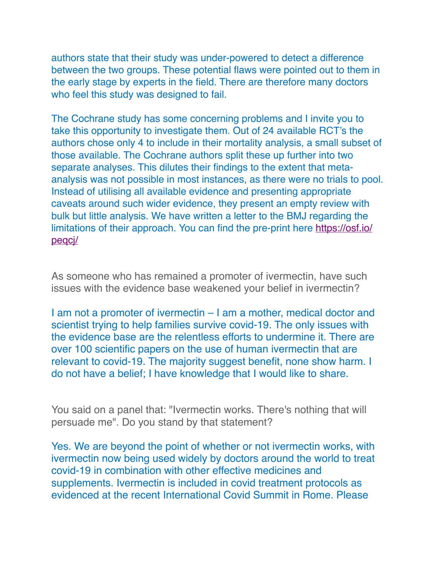authors state that their study was under-powered to detect a difference between the two groups. These potential flaws were pointed out to them in the early stage by experts in the field. There are therefore many doctors who feel this study was designed to fail.

The Cochrane study has some concerning problems and I invite you to take this opportunity to investigate them. Out of 24 available RCT's the authors chose only 4 to include in their mortality analysis, a small subset of those available. The Cochrane authors split these up further into two separate analyses. This dilutes their findings to the extent that metaanalysis was not possible in most instances, as there were no trials to pool. Instead of utilising all available evidence and presenting appropriate caveats around such wider evidence, they present an empty review with bulk but little analysis. We have written a letter to the BMJ regarding the limitations of their approach. You can find the pre-print here [https://osf.io/](https://osf.io/peqcj/) [peqcj/](https://osf.io/peqcj/)

As someone who has remained a promoter of ivermectin, have such issues with the evidence base weakened your belief in ivermectin?

I am not a promoter of ivermectin – I am a mother, medical doctor and scientist trying to help families survive covid-19. The only issues with the evidence base are the relentless efforts to undermine it. There are over 100 scientific papers on the use of human ivermectin that are relevant to covid-19. The majority suggest benefit, none show harm. I do not have a belief; I have knowledge that I would like to share.

You said on a panel that: "Ivermectin works. There's nothing that will persuade me". Do you stand by that statement?

Yes. We are beyond the point of whether or not ivermectin works, with ivermectin now being used widely by doctors around the world to treat covid-19 in combination with other effective medicines and supplements. Ivermectin is included in covid treatment protocols as evidenced at the recent International Covid Summit in Rome. Please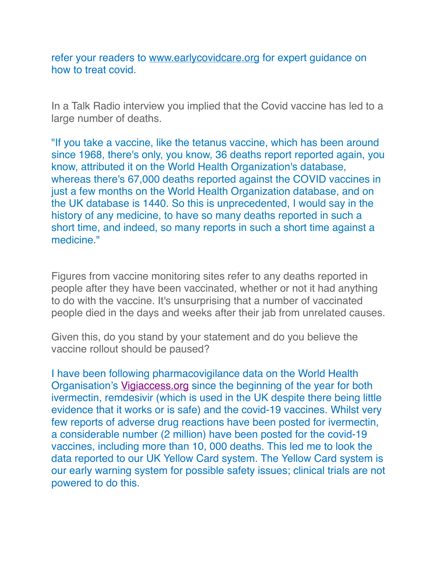refer your readers to [www.earlycovidcare.org](applewebdata://2B0EE617-2E17-4845-979A-CF06408CF816/www.earlycovidcare.org%20) for expert guidance on how to treat covid.

In a Talk Radio interview you implied that the Covid vaccine has led to a large number of deaths.

"If you take a vaccine, like the tetanus vaccine, which has been around since 1968, there's only, you know, 36 deaths report reported again, you know, attributed it on the World Health Organization's database, whereas there's 67,000 deaths reported against the COVID vaccines in just a few months on the World Health Organization database, and on the UK database is 1440. So this is unprecedented, I would say in the history of any medicine, to have so many deaths reported in such a short time, and indeed, so many reports in such a short time against a medicine."

Figures from vaccine monitoring sites refer to any deaths reported in people after they have been vaccinated, whether or not it had anything to do with the vaccine. It's unsurprising that a number of vaccinated people died in the days and weeks after their jab from unrelated causes.

Given this, do you stand by your statement and do you believe the vaccine rollout should be paused?

I have been following pharmacovigilance data on the World Health Organisation's [Vigiaccess.org](http://vigiaccess.org/) since the beginning of the year for both ivermectin, remdesivir (which is used in the UK despite there being little evidence that it works or is safe) and the covid-19 vaccines. Whilst very few reports of adverse drug reactions have been posted for ivermectin, a considerable number (2 million) have been posted for the covid-19 vaccines, including more than 10, 000 deaths. This led me to look the data reported to our UK Yellow Card system. The Yellow Card system is our early warning system for possible safety issues; clinical trials are not powered to do this.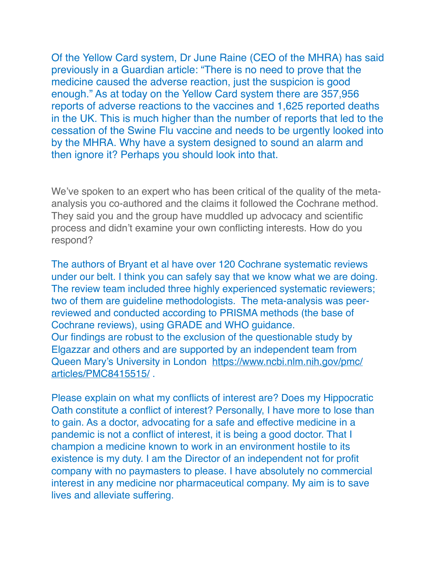Of the Yellow Card system, Dr June Raine (CEO of the MHRA) has said previously in a Guardian article: "There is no need to prove that the medicine caused the adverse reaction, just the suspicion is good enough." As at today on the Yellow Card system there are 357,956 reports of adverse reactions to the vaccines and 1,625 reported deaths in the UK. This is much higher than the number of reports that led to the cessation of the Swine Flu vaccine and needs to be urgently looked into by the MHRA. Why have a system designed to sound an alarm and then ignore it? Perhaps you should look into that.

We've spoken to an expert who has been critical of the quality of the metaanalysis you co-authored and the claims it followed the Cochrane method. They said you and the group have muddled up advocacy and scientific process and didn't examine your own conflicting interests. How do you respond?

The authors of Bryant et al have over 120 Cochrane systematic reviews under our belt. I think you can safely say that we know what we are doing. The review team included three highly experienced systematic reviewers; two of them are guideline methodologists. The meta-analysis was peerreviewed and conducted according to PRISMA methods (the base of Cochrane reviews), using GRADE and WHO guidance. Our findings are robust to the exclusion of the questionable study by Elgazzar and others and are supported by an independent team from Queen Mary's University in London [https://www.ncbi.nlm.nih.gov/pmc/](https://www.ncbi.nlm.nih.gov/pmc/articles/PMC8415515/) [articles/PMC8415515/](https://www.ncbi.nlm.nih.gov/pmc/articles/PMC8415515/) .

Please explain on what my conflicts of interest are? Does my Hippocratic Oath constitute a conflict of interest? Personally, I have more to lose than to gain. As a doctor, advocating for a safe and effective medicine in a pandemic is not a conflict of interest, it is being a good doctor. That I champion a medicine known to work in an environment hostile to its existence is my duty. I am the Director of an independent not for profit company with no paymasters to please. I have absolutely no commercial interest in any medicine nor pharmaceutical company. My aim is to save lives and alleviate suffering.